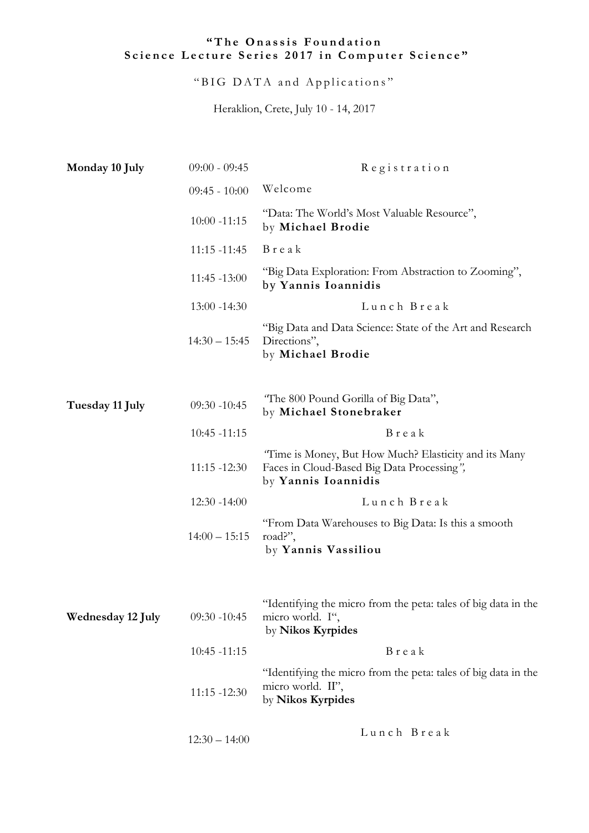## "The Onassis Foundation Science Lecture Series 2017 in Computer Science"

"BIG DATA and Applications"

Heraklion, Crete, July 10 - 14, 2017

| Monday 10 July    | $09:00 - 09:45$ | Registration                                                                                                               |
|-------------------|-----------------|----------------------------------------------------------------------------------------------------------------------------|
|                   | $09:45 - 10:00$ | Welcome                                                                                                                    |
|                   | $10:00 - 11:15$ | "Data: The World's Most Valuable Resource",<br>by Michael Brodie                                                           |
|                   | $11:15 - 11:45$ | Break                                                                                                                      |
|                   | $11:45 - 13:00$ | "Big Data Exploration: From Abstraction to Zooming",<br>by Yannis Ioannidis                                                |
|                   | $13:00 - 14:30$ | Lunch Break                                                                                                                |
|                   | $14:30 - 15:45$ | "Big Data and Data Science: State of the Art and Research<br>Directions",<br>by Michael Brodie                             |
| Tuesday 11 July   | $09:30 - 10:45$ | "The 800 Pound Gorilla of Big Data",<br>by Michael Stonebraker                                                             |
|                   | $10:45 - 11:15$ | Break                                                                                                                      |
|                   | $11:15 - 12:30$ | "Time is Money, But How Much? Elasticity and its Many<br>Faces in Cloud-Based Big Data Processing",<br>by Yannis Ioannidis |
|                   | $12:30 - 14:00$ | Lunch Break                                                                                                                |
|                   | $14:00 - 15:15$ | "From Data Warehouses to Big Data: Is this a smooth<br>road?",<br>by Yannis Vassiliou                                      |
| Wednesday 12 July | $09:30 - 10:45$ | "Identifying the micro from the peta: tales of big data in the<br>micro world. I",<br>by Nikos Kyrpides                    |
|                   | $10:45 - 11:15$ | Break                                                                                                                      |
|                   | $11:15 - 12:30$ | "Identifying the micro from the peta: tales of big data in the<br>micro world. II",<br>by Nikos Kyrpides                   |
|                   | $12:30 - 14:00$ | Lunch Break                                                                                                                |